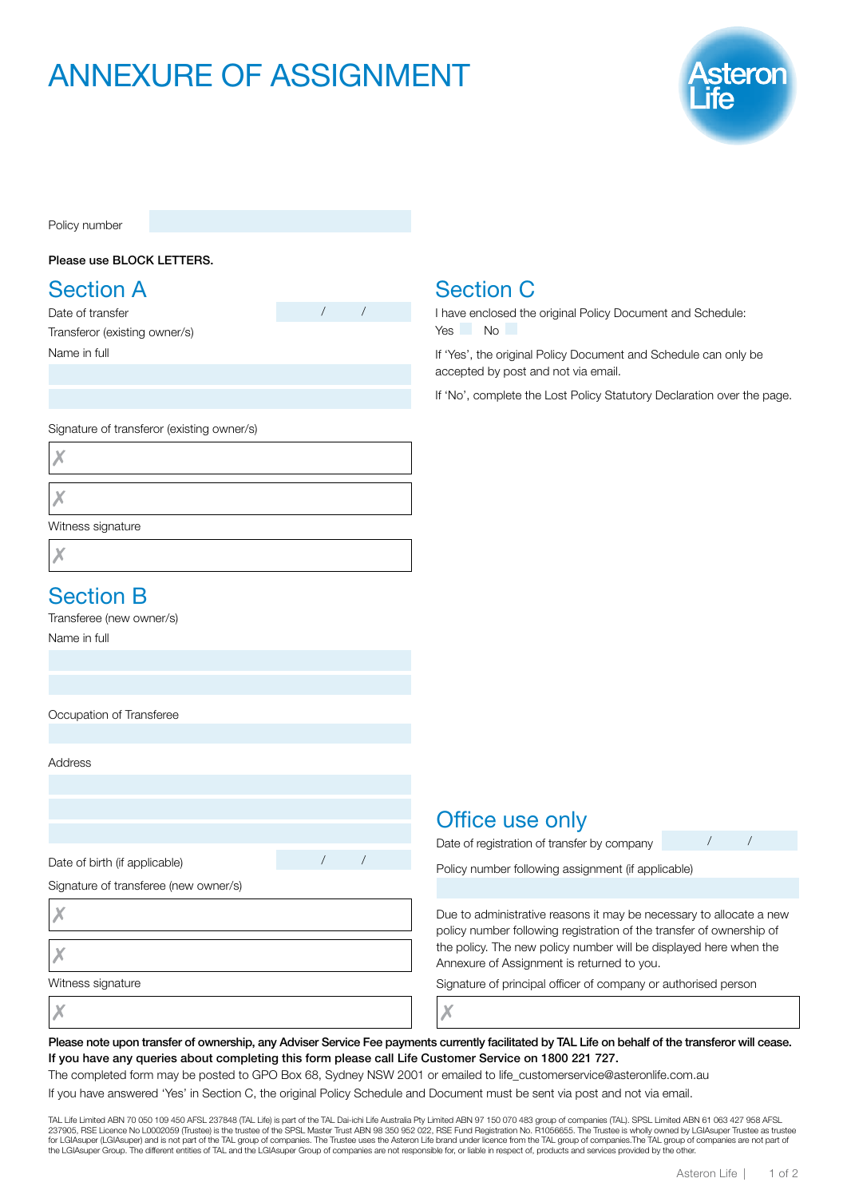# ANNEXURE OF ASSIGNMENT



Policy number

#### Please use BLOCK LETTERS.

### Section A

Date of transfer Transferor (existing owner/s) Name in full

Signature of transferor (existing owner/s)

X

X

Witness signature

Х

#### Section B

Transferee (new owner/s)

Name in full

Occupation of Transferee

Address

Date of birth (if applicable)

Signature of transferee (new owner/s)

X

X

Witness signature

Section C I have enclosed the original Policy Document and Schedule:

Yes No

If 'Yes', the original Policy Document and Schedule can only be accepted by post and not via email.

If 'No', complete the Lost Policy Statutory Declaration over the page.

#### Office use only

Date of registration of transfer by company

Policy number following assignment (if applicable)

Due to administrative reasons it may be necessary to allocate a new policy number following registration of the transfer of ownership of the policy. The new policy number will be displayed here when the Annexure of Assignment is returned to you.

Signature of principal officer of company or authorised person

Х

Please note upon transfer of ownership, any Adviser Service Fee payments currently facilitated by TAL Life on behalf of the transferor will cease. If you have any queries about completing this form please call Life Customer Service on 1800 221 727.

The completed form may be posted to GPO Box 68, Sydney NSW 2001 or emailed to life\_customerservice@asteronlife.com.au

If you have answered 'Yes' in Section C, the original Policy Schedule and Document must be sent via post and not via email.

TAL Life Limited ABN 70 050 109 450 AFSL 237848 (TAL Life) is part of the TAL Dai-ichi Life Australia Pty Limited ABN 97 150 070 483 group of companies (TAL). SPSL Limited ABN 61 063 427 958 AFSL<br>237905, RSE Licence No L00 for LGIAsuper (LGIAsuper) and is not part of the TAL group of companies. The Trustee uses the Asteron Life brand under licence from the TAL group of companies.The TAL group of companies are not part of<br>the LGIAsuper Group.